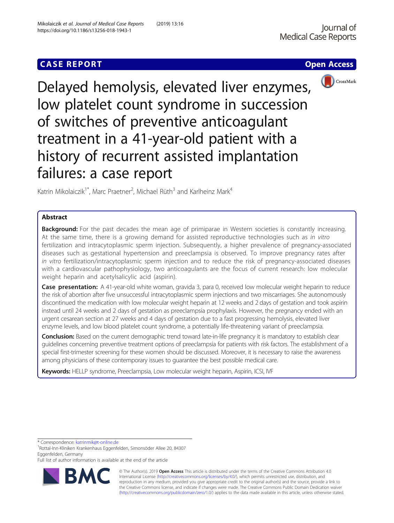# **CASE REPORT CASE ACCESS**





Delayed hemolysis, elevated liver enzymes, low platelet count syndrome in succession of switches of preventive anticoagulant treatment in a 41-year-old patient with a history of recurrent assisted implantation failures: a case report

Katrin Mikolaiczik<sup>1\*</sup>, Marc Praetner<sup>2</sup>, Michael Rüth<sup>3</sup> and Karlheinz Mark<sup>4</sup>

## Abstract

**Background:** For the past decades the mean age of primiparae in Western societies is constantly increasing. At the same time, there is a growing demand for assisted reproductive technologies such as in vitro fertilization and intracytoplasmic sperm injection. Subsequently, a higher prevalence of pregnancy-associated diseases such as gestational hypertension and preeclampsia is observed. To improve pregnancy rates after in vitro fertilization/intracytoplasmic sperm injection and to reduce the risk of pregnancy-associated diseases with a cardiovascular pathophysiology, two anticoagulants are the focus of current research: low molecular weight heparin and acetylsalicylic acid (aspirin).

Case presentation: A 41-year-old white woman, gravida 3, para 0, received low molecular weight heparin to reduce the risk of abortion after five unsuccessful intracytoplasmic sperm injections and two miscarriages. She autonomously discontinued the medication with low molecular weight heparin at 12 weeks and 2 days of gestation and took aspirin instead until 24 weeks and 2 days of gestation as preeclampsia prophylaxis. However, the pregnancy ended with an urgent cesarean section at 27 weeks and 4 days of gestation due to a fast progressing hemolysis, elevated liver enzyme levels, and low blood platelet count syndrome, a potentially life-threatening variant of preeclampsia.

**Conclusion:** Based on the current demographic trend toward late-in-life pregnancy it is mandatory to establish clear guidelines concerning preventive treatment options of preeclampsia for patients with risk factors. The establishment of a special first-trimester screening for these women should be discussed. Moreover, it is necessary to raise the awareness among physicians of these contemporary issues to guarantee the best possible medical care.

Keywords: HELLP syndrome, Preeclampsia, Low molecular weight heparin, Aspirin, ICSI, IVF

\* Correspondence: [katrinmik@t-online.de](mailto:katrinmik@t-online.de) <sup>1</sup>

Rottal-Inn-Kliniken Krankenhaus Eggenfelden, Simonsöder Allee 20, 84307 Eggenfelden, Germany

Full list of author information is available at the end of the article



© The Author(s). 2019 **Open Access** This article is distributed under the terms of the Creative Commons Attribution 4.0 International License [\(http://creativecommons.org/licenses/by/4.0/](http://creativecommons.org/licenses/by/4.0/)), which permits unrestricted use, distribution, and reproduction in any medium, provided you give appropriate credit to the original author(s) and the source, provide a link to the Creative Commons license, and indicate if changes were made. The Creative Commons Public Domain Dedication waiver [\(http://creativecommons.org/publicdomain/zero/1.0/](http://creativecommons.org/publicdomain/zero/1.0/)) applies to the data made available in this article, unless otherwise stated.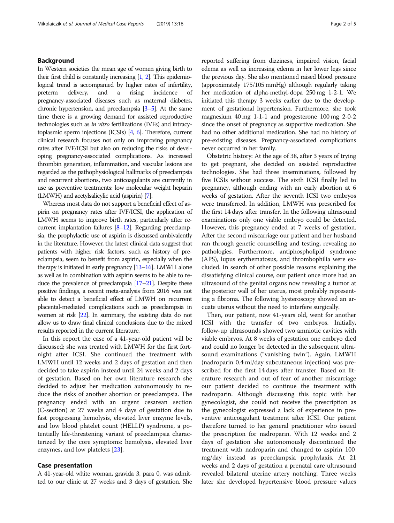## Background

In Western societies the mean age of women giving birth to their first child is constantly increasing [\[1](#page-3-0), [2](#page-3-0)]. This epidemiological trend is accompanied by higher rates of infertility, preterm delivery, and a rising incidence of pregnancy-associated diseases such as maternal diabetes, chronic hypertension, and preeclampsia [\[3](#page-3-0)–[5](#page-3-0)]. At the same time there is a growing demand for assisted reproductive technologies such as in vitro fertilizations (IVFs) and intracytoplasmic sperm injections (ICSIs) [[4](#page-3-0), [6](#page-3-0)]. Therefore, current clinical research focuses not only on improving pregnancy rates after IVF/ICSI but also on reducing the risks of developing pregnancy-associated complications. As increased thrombin generation, inflammation, and vascular lesions are regarded as the pathophysiological hallmarks of preeclampsia and recurrent abortions, two anticoagulants are currently in use as preventive treatments: low molecular weight heparin (LMWH) and acetylsalicylic acid (aspirin) [\[7\]](#page-4-0).

Whereas most data do not support a beneficial effect of aspirin on pregnancy rates after IVF/ICSI, the application of LMWH seems to improve birth rates, particularly after recurrent implantation failures [\[8](#page-4-0)–[12](#page-4-0)]. Regarding preeclampsia, the prophylactic use of aspirin is discussed ambivalently in the literature. However, the latest clinical data suggest that patients with higher risk factors, such as history of preeclampsia, seem to benefit from aspirin, especially when the therapy is initiated in early pregnancy [\[13](#page-4-0)–[16\]](#page-4-0). LMWH alone as well as in combination with aspirin seems to be able to reduce the prevalence of preeclampsia [\[17](#page-4-0)–[21\]](#page-4-0). Despite these positive findings, a recent meta-analysis from 2016 was not able to detect a beneficial effect of LMWH on recurrent placental-mediated complications such as preeclampsia in women at risk [\[22\]](#page-4-0). In summary, the existing data do not allow us to draw final clinical conclusions due to the mixed results reported in the current literature.

In this report the case of a 41-year-old patient will be discussed; she was treated with LMWH for the first fortnight after ICSI. She continued the treatment with LMWH until 12 weeks and 2 days of gestation and then decided to take aspirin instead until 24 weeks and 2 days of gestation. Based on her own literature research she decided to adjust her medication autonomously to reduce the risks of another abortion or preeclampsia. The pregnancy ended with an urgent cesarean section (C-section) at 27 weeks and 4 days of gestation due to fast progressing hemolysis, elevated liver enzyme levels, and low blood platelet count (HELLP) syndrome, a potentially life-threatening variant of preeclampsia characterized by the core symptoms: hemolysis, elevated liver enzymes, and low platelets [\[23\]](#page-4-0).

## Case presentation

A 41-year-old white woman, gravida 3, para 0, was admitted to our clinic at 27 weeks and 3 days of gestation. She

reported suffering from dizziness, impaired vision, facial edema as well as increasing edema in her lower legs since the previous day. She also mentioned raised blood pressure (approximately 175/105 mmHg) although regularly taking her medication of alpha-methyl-dopa 250 mg 1-2-1. We initiated this therapy 3 weeks earlier due to the development of gestational hypertension. Furthermore, she took magnesium 40 mg 1-1-1 and progesterone 100 mg 2-0-2 since the onset of pregnancy as supportive medication. She had no other additional medication. She had no history of pre-existing diseases. Pregnancy-associated complications never occurred in her family.

Obstetric history: At the age of 38, after 3 years of trying to get pregnant, she decided on assisted reproductive technologies. She had three inseminations, followed by five ICSIs without success. The sixth ICSI finally led to pregnancy, although ending with an early abortion at 6 weeks of gestation. After the seventh ICSI two embryos were transferred. In addition, LMWH was prescribed for the first 14 days after transfer. In the following ultrasound examinations only one viable embryo could be detected. However, this pregnancy ended at 7 weeks of gestation. After the second miscarriage our patient and her husband ran through genetic counselling and testing, revealing no pathologies. Furthermore, antiphospholipid syndrome (APS), lupus erythematosus, and thrombophilia were excluded. In search of other possible reasons explaining the dissatisfying clinical course, our patient once more had an ultrasound of the genital organs now revealing a tumor at the posterior wall of her uterus, most probably representing a fibroma. The following hysteroscopy showed an arcuate uterus without the need to interfere surgically.

Then, our patient, now 41-years old, went for another ICSI with the transfer of two embryos. Initially, follow-up ultrasounds showed two amniotic cavities with viable embryos. At 8 weeks of gestation one embryo died and could no longer be detected in the subsequent ultrasound examinations ("vanishing twin"). Again, LMWH (nadroparin 0.4 ml/day subcutaneous injection) was prescribed for the first 14 days after transfer. Based on literature research and out of fear of another miscarriage our patient decided to continue the treatment with nadroparin. Although discussing this topic with her gynecologist, she could not receive the prescription as the gynecologist expressed a lack of experience in preventive anticoagulant treatment after ICSI. Our patient therefore turned to her general practitioner who issued the prescription for nadroparin. With 12 weeks and 2 days of gestation she autonomously discontinued the treatment with nadroparin and changed to aspirin 100 mg/day instead as preeclampsia prophylaxis. At 21 weeks and 2 days of gestation a prenatal care ultrasound revealed bilateral uterine artery notching. Three weeks later she developed hypertensive blood pressure values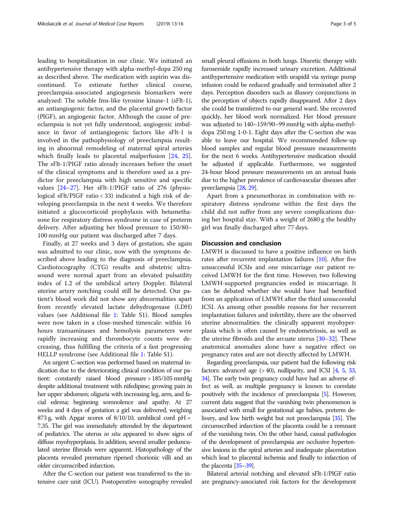leading to hospitalization in our clinic. We initiated an antihypertensive therapy with alpha-methyl-dopa 250 mg as described above. The medication with aspirin was discontinued. To estimate further clinical course, preeclampsia-associated angiogenesis biomarkers were analyzed: The soluble fms-like tyrosine kinase-1 (sFlt-1), an antiangiogenic factor, and the placental growth factor (PlGF), an angiogenic factor. Although the cause of preeclampsia is not yet fully understood, angiogenic imbalance in favor of antiangiogenic factors like sFlt-1 is involved in the pathophysiology of preeclampsia resulting in abnormal remodeling of maternal spiral arteries which finally leads to placental malperfusion [\[24](#page-4-0), [25](#page-4-0)]. The sFlt-1/PIGF ratio already increases before the onset of the clinical symptoms and is therefore used as a predictor for preeclampsia with high sensitive and specific values [\[24](#page-4-0)–[27\]](#page-4-0). Her sFlt-1/PIGF ratio of 276 (physiological sFlt/PIGF ratio < 33) indicated a high risk of developing preeclampsia in the next 4 weeks. We therefore initiated a glucocorticoid prophylaxis with betamethasone for respiratory distress syndrome in case of preterm delivery. After adjusting her blood pressure to 150/80– 100 mmHg our patient was discharged after 7 days.

Finally, at 27 weeks and 3 days of gestation, she again was admitted to our clinic, now with the symptoms described above leading to the diagnosis of preeclampsia. Cardiotocography (CTG) results and obstetric ultrasound were normal apart from an elevated pulsatility index of 1.2 of the umbilical artery Doppler. Bilateral uterine artery notching could still be detected. Our patient's blood work did not show any abnormalities apart from recently elevated lactate dehydrogenase (LDH) values (see Additional file [1](#page-3-0): Table S1). Blood samples were now taken in a close-meshed timescale: within 16 hours transaminases and hemolysis parameters were rapidly increasing and thrombocyte counts were decreasing, thus fulfilling the criteria of a fast progressing HELLP syndrome (see Additional file [1](#page-3-0): Table S1).

An urgent C-section was performed based on maternal indication due to the deteriorating clinical condition of our patient: constantly raised blood pressure > 185/105 mmHg despite additional treatment with nifedipine; growing pain in her upper abdomen; oliguria with increasing leg, arm, and facial edema; beginning somnolence and apathy. At 27 weeks and 4 days of gestation a girl was delivered, weighing 873 g, with Apgar scores of  $8/10/10$ , umbilical cord pH = 7.35. The girl was immediately attended by the department of pediatrics. The uterus in situ appeared to show signs of diffuse myohyperplasia. In addition, several smaller pedunculated uterine fibroids were apparent. Histopathology of the placenta revealed premature ripened chorionic villi and an older circumscribed infarction.

After the C-section our patient was transferred to the intensive care unit (ICU). Postoperative sonography revealed small pleural effusions in both lungs. Diuretic therapy with furosemide rapidly increased urinary excretion. Additional antihypertensive medication with urapidil via syringe pump infusion could be reduced gradually and terminated after 2 days. Perception disorders such as illusory conjunctions in the perception of objects rapidly disappeared. After 2 days she could be transferred to our general ward. She recovered quickly, her blood work normalized. Her blood pressure was adjusted to 140–159/90–99 mmHg with alpha-methyldopa 250 mg 1-0-1. Eight days after the C-section she was able to leave our hospital. We recommended follow-up blood samples and regular blood pressure measurements for the next 6 weeks. Antihypertensive medication should be adjusted if applicable. Furthermore, we suggested 24-hour blood pressure measurements on an annual basis due to the higher prevalence of cardiovascular diseases after preeclampsia [\[28,](#page-4-0) [29\]](#page-4-0).

Apart from a pneumothorax in combination with respiratory distress syndrome within the first days the child did not suffer from any severe complications during her hospital stay. With a weight of 2680 g the healthy girl was finally discharged after 77 days.

## Discussion and conclusion

LMWH is discussed to have a positive influence on birth rates after recurrent implantation failures [\[10](#page-4-0)]. After five unsuccessful ICSIs and one miscarriage our patient received LMWH for the first time. However, two following LMWH-supported pregnancies ended in miscarriage. It can be debated whether she would have had benefited from an application of LMWH after the third unsuccessful ICSI. As among other possible reasons for her recurrent implantation failures and infertility, there are the observed uterine abnormalities: the clinically apparent myohyperplasia which is often caused by endometriosis, as well as the uterine fibroids and the arcuate uterus  $[30-32]$  $[30-32]$  $[30-32]$  $[30-32]$ . These anatomical anomalies alone have a negative effect on pregnancy rates and are not directly affected by LMWH.

Regarding preeclampsia, our patient had the following risk factors: advanced age  $(>40)$ , nulliparity, and ICSI  $[4, 5, 33, 4]$  $[4, 5, 33, 4]$  $[4, 5, 33, 4]$  $[4, 5, 33, 4]$  $[4, 5, 33, 4]$  $[4, 5, 33, 4]$ [34\]](#page-4-0). The early twin pregnancy could have had an adverse effect as well, as multiple pregnancy is known to correlate positively with the incidence of preeclampsia [\[5\]](#page-3-0). However, current data suggest that the vanishing twin phenomenon is associated with small for gestational age babies, preterm delivery, and low birth weight but not preeclampsia [\[35\]](#page-4-0). The circumscribed infarction of the placenta could be a remnant of the vanishing twin. On the other hand, casual pathologies of the development of preeclampsia are occlusive hypertensive lesions in the spiral arteries and inadequate placentation which lead to placental ischemia and finally to infarction of the placenta [[35](#page-4-0)–[39\]](#page-4-0).

Bilateral arterial notching and elevated sFlt-1/PlGF ratio are pregnancy-associated risk factors for the development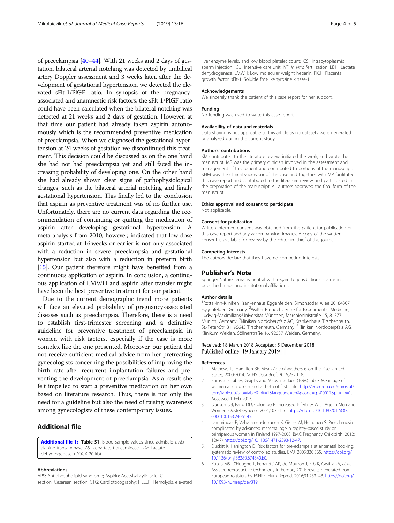<span id="page-3-0"></span>of preeclampsia [\[40](#page-4-0)–[44\]](#page-4-0). With 21 weeks and 2 days of gestation, bilateral arterial notching was detected by umbilical artery Doppler assessment and 3 weeks later, after the development of gestational hypertension, we detected the elevated sFlt-1/PlGF ratio. In synopsis of the pregnancyassociated and anamnestic risk factors, the sFlt-1/PlGF ratio could have been calculated when the bilateral notching was detected at 21 weeks and 2 days of gestation. However, at that time our patient had already taken aspirin autonomously which is the recommended preventive medication of preeclampsia. When we diagnosed the gestational hypertension at 24 weeks of gestation we discontinued this treatment. This decision could be discussed as on the one hand she had not had preeclampsia yet and still faced the increasing probability of developing one. On the other hand she had already shown clear signs of pathophysiological changes, such as the bilateral arterial notching and finally gestational hypertension. This finally led to the conclusion that aspirin as preventive treatment was of no further use. Unfortunately, there are no current data regarding the recommendation of continuing or quitting the medication of aspirin after developing gestational hypertension. A meta-analysis from 2010, however, indicated that low-dose aspirin started at 16 weeks or earlier is not only associated with a reduction in severe preeclampsia and gestational hypertension but also with a reduction in preterm birth [[15](#page-4-0)]. Our patient therefore might have benefited from a continuous application of aspirin. In conclusion, a continuous application of LMWH and aspirin after transfer might have been the best preventive treatment for our patient.

Due to the current demographic trend more patients will face an elevated probability of pregnancy-associated diseases such as preeclampsia. Therefore, there is a need to establish first-trimester screening and a definitive guideline for preventive treatment of preeclampsia in women with risk factors, especially if the case is more complex like the one presented. Moreover, our patient did not receive sufficient medical advice from her pretreating gynecologists concerning the possibilities of improving the birth rate after recurrent implantation failures and preventing the development of preeclampsia. As a result she felt impelled to start a preventive medication on her own based on literature research. Thus, there is not only the need for a guideline but also the need of raising awareness among gynecologists of these contemporary issues.

## Additional file

[Additional file 1:](https://doi.org/10.1186/s13256-018-1943-1) Table S1. Blood sample values since admission. ALT alanine transaminase, AST aspartate transaminase, LDH Lactate dehydrogenase. (DOCX 20 kb)

#### Abbreviations

APS: Antiphospholipid syndrome; Aspirin: Acetylsalicylic acid; Csection: Cesarean section; CTG: Cardiotocography; HELLP: Hemolysis, elevated liver enzyme levels, and low blood platelet count; ICSI: Intracytoplasmic sperm injection; ICU: Intensive care unit; IVF: In vitro fertilization; LDH: Lactate dehydrogenase; LMWH: Low molecular weight heparin; PlGF: Placental growth factor; sFlt-1: Soluble fms-like tyrosine kinase-1

#### Acknowledgements

We sincerely thank the patient of this case report for her support.

#### Funding

No funding was used to write this case report.

#### Availability of data and materials

Data sharing is not applicable to this article as no datasets were generated or analyzed during the current study.

#### Authors' contributions

KM contributed to the literature review, initiated the work, and wrote the manuscript. MR was the primary clinician involved in the assessment and management of this patient and contributed to portions of the manuscript. KHM was the clinical supervisor of this case and together with MP facilitated this case report and contributed to the literature review and participated in the preparation of the manuscript. All authors approved the final form of the manuscript.

#### Ethics approval and consent to participate

Not applicable.

## Consent for publication

Written informed consent was obtained from the patient for publication of this case report and any accompanying images. A copy of the written consent is available for review by the Editor-in-Chief of this journal.

#### Competing interests

The authors declare that they have no competing interests.

#### Publisher's Note

Springer Nature remains neutral with regard to jurisdictional claims in published maps and institutional affiliations.

#### Author details

1 Rottal-Inn-Kliniken Krankenhaus Eggenfelden, Simonsöder Allee 20, 84307 Eggenfelden, Germany. <sup>2</sup>Walter Brendel Centre for Experimental Medicine, Ludwig-Maximilians-Universität München, Marchioninistraße 15, 81377 Munich, Germany. <sup>3</sup>Kliniken Nordoberpfalz AG, Krankenhaus Tirschenreuth, St.-Peter-Str. 31, 95643 Tirschenreuth, Germany. <sup>4</sup>Kliniken Nordoberpfalz AG, Klinikum Weiden, Söllnerstraße 16, 92637 Weiden, Germany.

### Received: 18 March 2018 Accepted: 5 December 2018 Published online: 19 January 2019

#### References

- 1. Mathews TJ, Hamilton BE. Mean Age of Mothers is on the Rise: United States, 2000-2014. NCHS Data Brief. 2016;232:1–8.
- 2. Eurostat Tables, Graphs and Maps Interface (TGM) table. Mean age of women at childbirth and at birth of first child. [http://ec.europa.eu/eurostat/](http://ec.europa.eu/eurostat/tgm/table.do?tab=table&init=1&language=en&pcode=tps00017&plugin=1) [tgm/table.do?tab=table&init=1&language=en&pcode=tps00017&plugin=1.](http://ec.europa.eu/eurostat/tgm/table.do?tab=table&init=1&language=en&pcode=tps00017&plugin=1) Accessed 1 Feb 2017.
- 3. Dunson DB, Baird DD, Colombo B. Increased Infertility With Age in Men and Women. Obstet Gynecol. 2004;103:51–6. [https://doi.org/10.1097/01.AOG.](https://doi.org/10.1097/01.AOG.0000100153.24061.45) [0000100153.24061.45](https://doi.org/10.1097/01.AOG.0000100153.24061.45).
- 4. Lamminpaa R, Vehvilainen-Julkunen K, Gissler M, Heinonen S. Preeclampsia complicated by advanced maternal age: a registry-based study on primiparous women in Finland 1997-2008. BMC Pregnancy Childbirth. 2012; 12(47) <https://doi.org/10.1186/1471-2393-12-47.>
- 5. Duckitt K, Harrington D. Risk factors for pre-eclampsia at antenatal booking: systematic review of controlled studies. BMJ. 2005;330:565. [https://doi.org/](https://doi.org/10.1136/bmj.38380.674340.E0) [10.1136/bmj.38380.674340.E0.](https://doi.org/10.1136/bmj.38380.674340.E0)
- 6. Kupka MS, D'Hooghe T, Ferraretti AP, de Mouzon J, Erb K, Castilla JA, et al. Assisted reproductive technology in Europe, 2011: results generated from European registers by ESHRE. Hum Reprod. 2016;31:233–48. [https://doi.org/](https://doi.org/10.1093/humrep/dev319.) [10.1093/humrep/dev319.](https://doi.org/10.1093/humrep/dev319.)